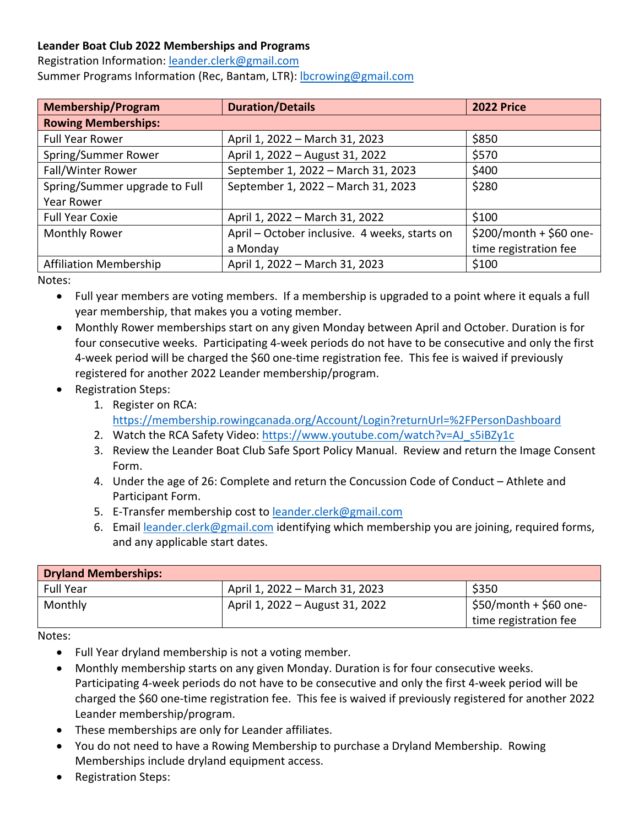## **Leander Boat Club 2022 Memberships and Programs**

Registration Information: leander.clerk@gmail.com Summer Programs Information (Rec, Bantam, LTR): lbcrowing@gmail.com

| <b>Membership/Program</b>     | <b>Duration/Details</b>                       | <b>2022 Price</b>       |
|-------------------------------|-----------------------------------------------|-------------------------|
| <b>Rowing Memberships:</b>    |                                               |                         |
| <b>Full Year Rower</b>        | April 1, 2022 - March 31, 2023                | \$850                   |
| Spring/Summer Rower           | April 1, 2022 - August 31, 2022               | \$570                   |
| Fall/Winter Rower             | September 1, 2022 - March 31, 2023            | \$400                   |
| Spring/Summer upgrade to Full | September 1, 2022 - March 31, 2023            | \$280                   |
| <b>Year Rower</b>             |                                               |                         |
| <b>Full Year Coxie</b>        | April 1, 2022 - March 31, 2022                | \$100                   |
| Monthly Rower                 | April - October inclusive. 4 weeks, starts on | \$200/month + \$60 one- |
|                               | a Monday                                      | time registration fee   |
| <b>Affiliation Membership</b> | April 1, 2022 - March 31, 2023                | \$100                   |

Notes:

- Full year members are voting members. If a membership is upgraded to a point where it equals a full year membership, that makes you a voting member.
- Monthly Rower memberships start on any given Monday between April and October. Duration is for four consecutive weeks. Participating 4-week periods do not have to be consecutive and only the first 4-week period will be charged the \$60 one-time registration fee. This fee is waived if previously registered for another 2022 Leander membership/program.
- Registration Steps:
	- 1. Register on RCA: https://membership.rowingcanada.org/Account/Login?returnUrl=%2FPersonDashboard
	- 2. Watch the RCA Safety Video: https://www.youtube.com/watch?v=AJ\_s5iBZy1c
	- 3. Review the Leander Boat Club Safe Sport Policy Manual. Review and return the Image Consent Form.
	- 4. Under the age of 26: Complete and return the Concussion Code of Conduct Athlete and Participant Form.
	- 5. E-Transfer membership cost to leander.clerk@gmail.com
	- 6. Email leander.clerk@gmail.com identifying which membership you are joining, required forms, and any applicable start dates.

| <b>Dryland Memberships:</b> |                                 |                                                               |
|-----------------------------|---------------------------------|---------------------------------------------------------------|
| <b>Full Year</b>            | April 1, 2022 – March 31, 2023  | \$350                                                         |
| Monthly                     | April 1, 2022 - August 31, 2022 | $\frac{1}{2}$ \$50/month + \$60 one-<br>time registration fee |

- Full Year dryland membership is not a voting member.
- Monthly membership starts on any given Monday. Duration is for four consecutive weeks. Participating 4-week periods do not have to be consecutive and only the first 4-week period will be charged the \$60 one-time registration fee. This fee is waived if previously registered for another 2022 Leander membership/program.
- These memberships are only for Leander affiliates.
- You do not need to have a Rowing Membership to purchase a Dryland Membership. Rowing Memberships include dryland equipment access.
- Registration Steps: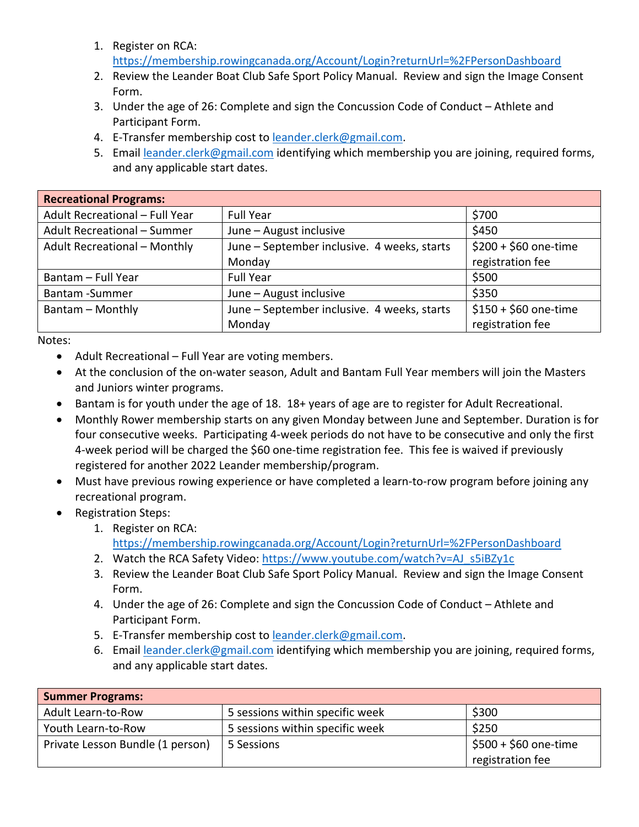- 1. Register on RCA: https://membership.rowingcanada.org/Account/Login?returnUrl=%2FPersonDashboard
	- 2. Review the Leander Boat Club Safe Sport Policy Manual. Review and sign the Image Consent Form.
	- 3. Under the age of 26: Complete and sign the Concussion Code of Conduct Athlete and Participant Form.
	- 4. E-Transfer membership cost to leander.clerk@gmail.com.
	- 5. Email leander.clerk@gmail.com identifying which membership you are joining, required forms, and any applicable start dates.

| <b>Recreational Programs:</b>       |                                             |                       |
|-------------------------------------|---------------------------------------------|-----------------------|
| Adult Recreational - Full Year      | <b>Full Year</b>                            | \$700                 |
| Adult Recreational - Summer         | June - August inclusive                     | \$450                 |
| <b>Adult Recreational - Monthly</b> | June - September inclusive. 4 weeks, starts | $$200 + $60$ one-time |
|                                     | Monday                                      | registration fee      |
| Bantam - Full Year                  | <b>Full Year</b>                            | \$500                 |
| Bantam - Summer                     | June - August inclusive                     | \$350                 |
| Bantam - Monthly                    | June - September inclusive. 4 weeks, starts | $$150 + $60$ one-time |
|                                     | Monday                                      | registration fee      |

- Adult Recreational Full Year are voting members.
- At the conclusion of the on-water season, Adult and Bantam Full Year members will join the Masters and Juniors winter programs.
- Bantam is for youth under the age of 18. 18+ years of age are to register for Adult Recreational.
- Monthly Rower membership starts on any given Monday between June and September. Duration is for four consecutive weeks. Participating 4-week periods do not have to be consecutive and only the first 4-week period will be charged the \$60 one-time registration fee. This fee is waived if previously registered for another 2022 Leander membership/program.
- Must have previous rowing experience or have completed a learn-to-row program before joining any recreational program.
- Registration Steps:
	- 1. Register on RCA: https://membership.rowingcanada.org/Account/Login?returnUrl=%2FPersonDashboard
	- 2. Watch the RCA Safety Video: https://www.youtube.com/watch?v=AJ\_s5iBZy1c
	- 3. Review the Leander Boat Club Safe Sport Policy Manual. Review and sign the Image Consent Form.
	- 4. Under the age of 26: Complete and sign the Concussion Code of Conduct Athlete and Participant Form.
	- 5. E-Transfer membership cost to leander.clerk@gmail.com.
	- 6. Email leander.clerk@gmail.com identifying which membership you are joining, required forms, and any applicable start dates.

| <b>Summer Programs:</b>          |                                 |                       |
|----------------------------------|---------------------------------|-----------------------|
| Adult Learn-to-Row               | 5 sessions within specific week | \$300                 |
| Youth Learn-to-Row               | 5 sessions within specific week | \$250                 |
| Private Lesson Bundle (1 person) | 5 Sessions                      | $$500 + $60$ one-time |
|                                  |                                 | registration fee      |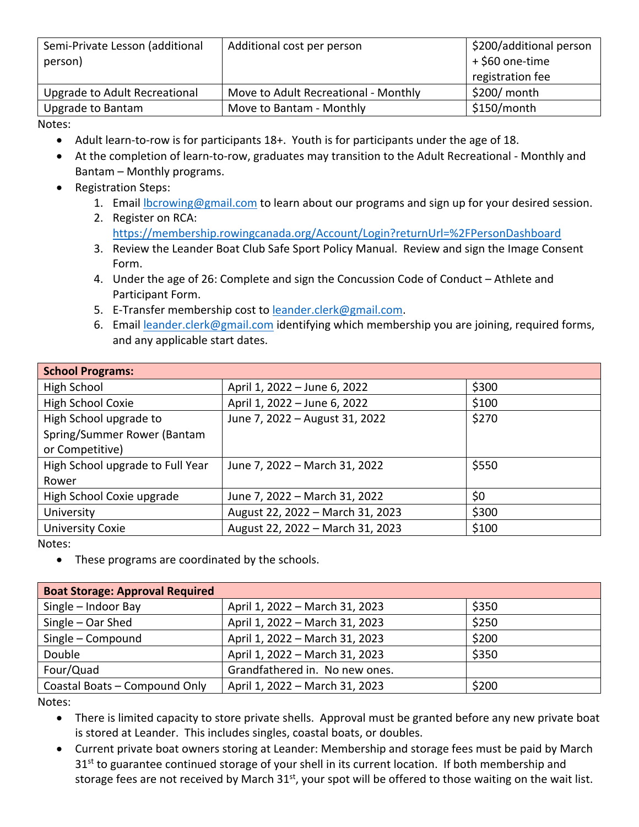| Semi-Private Lesson (additional<br>person) | Additional cost per person           | \$200/additional person<br>+ \$60 one-time<br>registration fee |
|--------------------------------------------|--------------------------------------|----------------------------------------------------------------|
| Upgrade to Adult Recreational              | Move to Adult Recreational - Monthly | \$200/ month                                                   |
| <b>Upgrade to Bantam</b>                   | Move to Bantam - Monthly             | \$150/month                                                    |

Notes:

- Adult learn-to-row is for participants 18+. Youth is for participants under the age of 18.
- At the completion of learn-to-row, graduates may transition to the Adult Recreational Monthly and Bantam – Monthly programs.
- Registration Steps:
	- 1. Email lbcrowing@gmail.com to learn about our programs and sign up for your desired session.
	- 2. Register on RCA: https://membership.rowingcanada.org/Account/Login?returnUrl=%2FPersonDashboard
	- 3. Review the Leander Boat Club Safe Sport Policy Manual. Review and sign the Image Consent Form.
	- 4. Under the age of 26: Complete and sign the Concussion Code of Conduct Athlete and Participant Form.
	- 5. E-Transfer membership cost to leander.clerk@gmail.com.
	- 6. Email leander.clerk@gmail.com identifying which membership you are joining, required forms, and any applicable start dates.

| <b>School Programs:</b>          |                                  |       |
|----------------------------------|----------------------------------|-------|
| High School                      | April 1, 2022 - June 6, 2022     | \$300 |
| High School Coxie                | April 1, 2022 - June 6, 2022     | \$100 |
| High School upgrade to           | June 7, 2022 - August 31, 2022   | \$270 |
| Spring/Summer Rower (Bantam      |                                  |       |
| or Competitive)                  |                                  |       |
| High School upgrade to Full Year | June 7, 2022 - March 31, 2022    | \$550 |
| Rower                            |                                  |       |
| High School Coxie upgrade        | June 7, 2022 - March 31, 2022    | \$0   |
| University                       | August 22, 2022 - March 31, 2023 | \$300 |
| <b>University Coxie</b>          | August 22, 2022 - March 31, 2023 | \$100 |

Notes:

• These programs are coordinated by the schools.

| <b>Boat Storage: Approval Required</b> |                                |       |
|----------------------------------------|--------------------------------|-------|
| Single - Indoor Bay                    | April 1, 2022 - March 31, 2023 | \$350 |
| Single - Oar Shed                      | April 1, 2022 - March 31, 2023 | \$250 |
| Single - Compound                      | April 1, 2022 - March 31, 2023 | \$200 |
| Double                                 | April 1, 2022 - March 31, 2023 | \$350 |
| Four/Quad                              | Grandfathered in. No new ones. |       |
| Coastal Boats - Compound Only          | April 1, 2022 - March 31, 2023 | \$200 |

- There is limited capacity to store private shells. Approval must be granted before any new private boat is stored at Leander. This includes singles, coastal boats, or doubles.
- Current private boat owners storing at Leander: Membership and storage fees must be paid by March  $31<sup>st</sup>$  to guarantee continued storage of your shell in its current location. If both membership and storage fees are not received by March  $31^{st}$ , your spot will be offered to those waiting on the wait list.